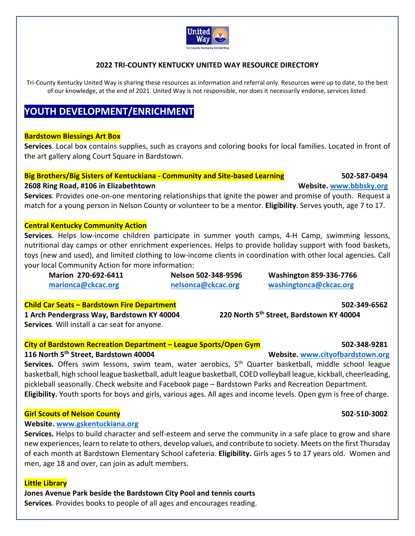

## **2022 TRI‐COUNTY KENTUCKY UNITED WAY RESOURCE DIRECTORY**

Tri-County Kentucky United Way is sharing these resources as information and referral only. Resources were up to date, to the best of our knowledge, at the end of 2021. United Way is not responsible, nor does it necessarily endorse, services listed.

# **YOUTH DEVELOPMENT/ENRICHMENT**

### **Bardstown Blessings Art Box**

**Services**. Local box contains supplies, such as crayons and coloring books for local families. Located in front of the art gallery along Court Square in Bardstown.

# **Big Brothers/Big Sisters of Kentuckiana ‐ Community and Site‐based Learning 502‐587‐0494 2608 Ring Road, #106 in Elizabethtown Website. www.bbbsky.org**

**Services**. Provides one‐on‐one mentoring relationships that ignite the power and promise of youth. Request a match for a young person in Nelson County or volunteer to be a mentor. **Eligibility**. Serves youth, age 7 to 17.

### **Central Kentucky Community Action**

Services. Helps low-income children participate in summer youth camps, 4-H Camp, swimming lessons, nutritional day camps or other enrichment experiences. Helps to provide holiday support with food baskets, toys (new and used), and limited clothing to low‐income clients in coordination with other local agencies. Call your local Community Action for more information:

| Marion 270-692-6411 | Nelson 502-348-9596 | <b>Washington 859-336-7766</b> |
|---------------------|---------------------|--------------------------------|
| marionca@ckcac.org  | nelsonca@ckcac.org  | washingtonca@ckcac.org         |
|                     |                     |                                |

**Child Car Seats – Bardstown Fire Department 502‐349‐6562 1 Arch Pendergrass Way, Bardstown KY 40004 220 North 5th Street, Bardstown KY 40004 Services**. Will install a car seat for anyone.

# **City of Bardstown Recreation Department – League Sports/Open Gym 502‐348‐9281**

### **116 North 5th Street, Bardstown 40004 Website. www.cityofbardstown.org**

Services. Offers swim lessons, swim team, water aerobics, 5<sup>th</sup> Quarter basketball, middle school league basketball, high school league basketball, adult league basketball, COED volleyball league, kickball, cheerleading, pickleball seasonally. Check website and Facebook page – Bardstown Parks and Recreation Department. **Eligibility.** Youth sports for boys and girls, various ages. All ages and income levels. Open gym is free of charge.

### **Girl Scouts of Nelson County 502‐510‐3002**

### **Website. www.gskentuckiana.org**

**Services.** Helps to build character and self‐esteem and serve the community in a safe place to grow and share new experiences, learn to relate to others, develop values, and contribute to society. Meets on the first Thursday of each month at Bardstown Elementary School cafeteria. **Eligibility.** Girls ages 5 to 17 years old. Women and men, age 18 and over, can join as adult members.

### **Little Library**

**Jones Avenue Park beside the Bardstown City Pool and tennis courts** 

**Services**. Provides books to people of all ages and encourages reading.